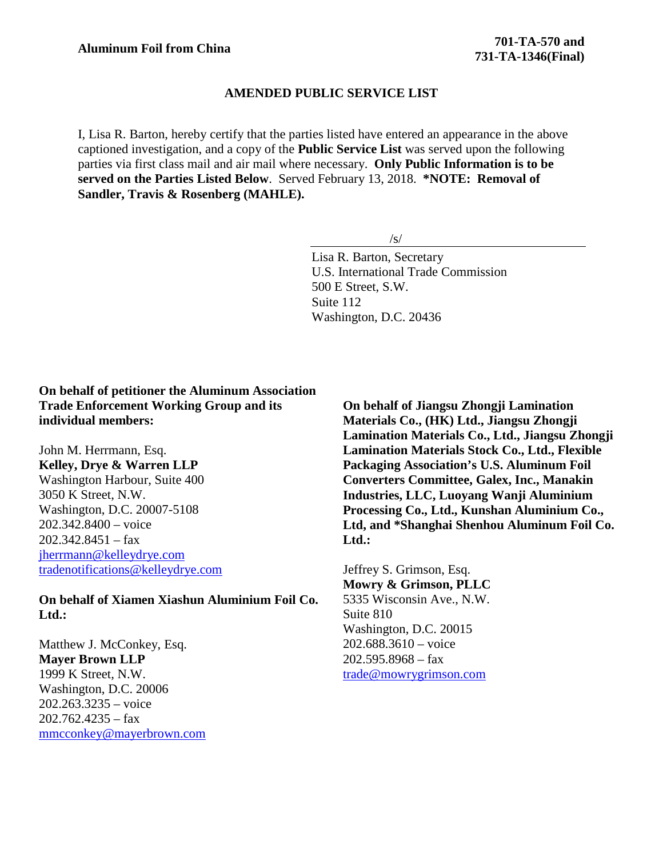## **AMENDED PUBLIC SERVICE LIST**

I, Lisa R. Barton, hereby certify that the parties listed have entered an appearance in the above captioned investigation, and a copy of the **Public Service List** was served upon the following parties via first class mail and air mail where necessary. **Only Public Information is to be served on the Parties Listed Below**. Served February 13, 2018. **\*NOTE: Removal of Sandler, Travis & Rosenberg (MAHLE).**

/s/

Lisa R. Barton, Secretary U.S. International Trade Commission 500 E Street, S.W. Suite 112 Washington, D.C. 20436

**On behalf of petitioner the Aluminum Association Trade Enforcement Working Group and its individual members:**

John M. Herrmann, Esq. **Kelley, Drye & Warren LLP** Washington Harbour, Suite 400 3050 K Street, N.W. Washington, D.C. 20007-5108 202.342.8400 – voice  $202.342.8451 - fax$ [jherrmann@kelleydrye.com](mailto:jherrmann@kelleydrye.com) [tradenotifications@kelleydrye.com](mailto:tradenotifications@kelleydrye.com)

**On behalf of Xiamen Xiashun Aluminium Foil Co. Ltd.:**

Matthew J. McConkey, Esq. **Mayer Brown LLP** 1999 K Street, N.W. Washington, D.C. 20006 202.263.3235 – voice  $202.762.4235 - fax$ [mmcconkey@mayerbrown.com](mailto:mmcconkey@mayerbrown.com) **On behalf of Jiangsu Zhongji Lamination Materials Co., (HK) Ltd., Jiangsu Zhongji Lamination Materials Co., Ltd., Jiangsu Zhongji Lamination Materials Stock Co., Ltd., Flexible Packaging Association's U.S. Aluminum Foil Converters Committee, Galex, Inc., Manakin Industries, LLC, Luoyang Wanji Aluminium Processing Co., Ltd., Kunshan Aluminium Co., Ltd, and \*Shanghai Shenhou Aluminum Foil Co. Ltd.:**

Jeffrey S. Grimson, Esq. **Mowry & Grimson, PLLC** 5335 Wisconsin Ave., N.W. Suite 810 Washington, D.C. 20015 202.688.3610 – voice  $202.595.8968 - fax$ [trade@mowrygrimson.com](mailto:trade@mowrygrimson.com)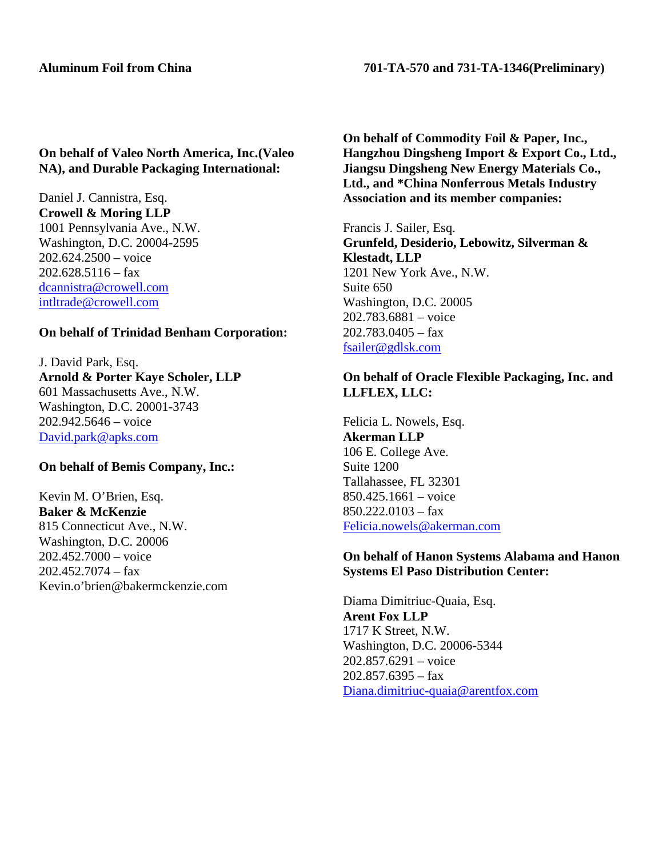## **Aluminum Foil from China 701-TA-570 and 731-TA-1346(Preliminary)**

## **On behalf of Valeo North America, Inc.(Valeo NA), and Durable Packaging International:**

Daniel J. Cannistra, Esq. **Crowell & Moring LLP** 1001 Pennsylvania Ave., N.W. Washington, D.C. 20004-2595 202.624.2500 – voice  $202.628.5116 -$ fax [dcannistra@crowell.com](mailto:dcannistra@crowell.com) [intltrade@crowell.com](mailto:intltrade@crowell.com)

#### **On behalf of Trinidad Benham Corporation:**

J. David Park, Esq. **Arnold & Porter Kaye Scholer, LLP** 601 Massachusetts Ave., N.W. Washington, D.C. 20001-3743 202.942.5646 – voice [David.park@apks.com](mailto:David.park@apks.com)

### **On behalf of Bemis Company, Inc.:**

Kevin M. O'Brien, Esq. **Baker & McKenzie** 815 Connecticut Ave., N.W. Washington, D.C. 20006 202.452.7000 – voice  $202.452.7074 - fax$ Kevin.o'brien@bakermckenzie.com **On behalf of Commodity Foil & Paper, Inc., Hangzhou Dingsheng Import & Export Co., Ltd., Jiangsu Dingsheng New Energy Materials Co., Ltd., and \*China Nonferrous Metals Industry Association and its member companies:**

Francis J. Sailer, Esq. **Grunfeld, Desiderio, Lebowitz, Silverman & Klestadt, LLP** 1201 New York Ave., N.W. Suite 650 Washington, D.C. 20005 202.783.6881 – voice 202.783.0405 – fax [fsailer@gdlsk.com](mailto:fsailer@gdlsk.com)

## **On behalf of Oracle Flexible Packaging, Inc. and LLFLEX, LLC:**

Felicia L. Nowels, Esq. **Akerman LLP** 106 E. College Ave. Suite 1200 Tallahassee, FL 32301 850.425.1661 – voice 850.222.0103 – fax [Felicia.nowels@akerman.com](mailto:Felicia.nowels@akerman.com)

### **On behalf of Hanon Systems Alabama and Hanon Systems El Paso Distribution Center:**

Diama Dimitriuc-Quaia, Esq. **Arent Fox LLP** 1717 K Street, N.W. Washington, D.C. 20006-5344 202.857.6291 – voice  $202.857.6395 - fax$ [Diana.dimitriuc-quaia@arentfox.com](mailto:Diana.dimitriuc-quaia@arentfox.com)